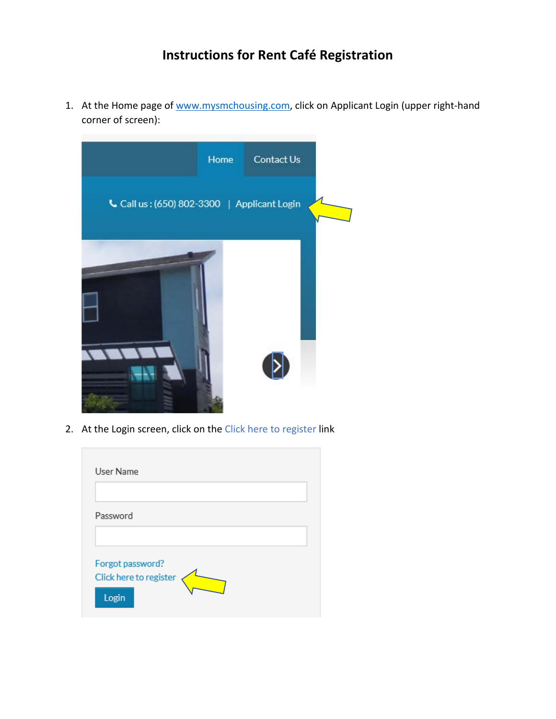## **Instructions for Rent Café Registration**

1. At the Home page of [www.mysmchousing.com,](http://www.mysmchousing.com/) click on Applicant Login (upper right-hand corner of screen):



2. At the Login screen, click on the Click here to register link

| User Name                                  |  |
|--------------------------------------------|--|
| Password                                   |  |
|                                            |  |
| Forgot password?<br>Click here to register |  |
| Login                                      |  |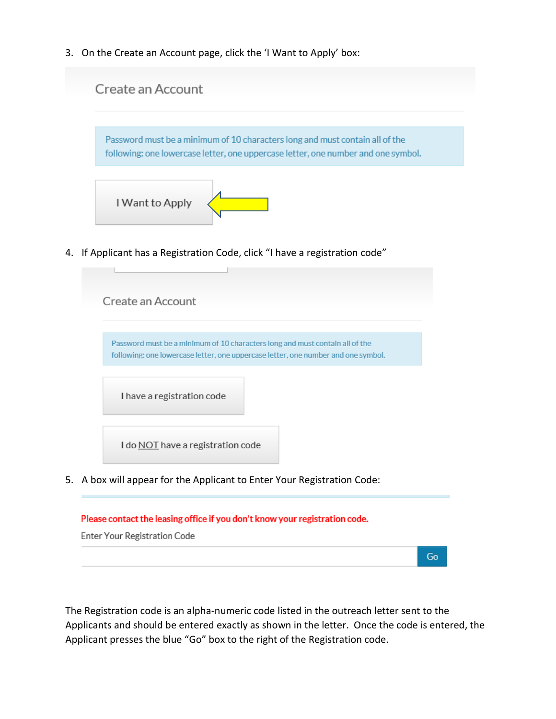3. On the Create an Account page, click the 'I Want to Apply' box:



Enter Your Registration Code

The Registration code is an alpha-numeric code listed in the outreach letter sent to the Applicants and should be entered exactly as shown in the letter. Once the code is entered, the Applicant presses the blue "Go" box to the right of the Registration code.

Go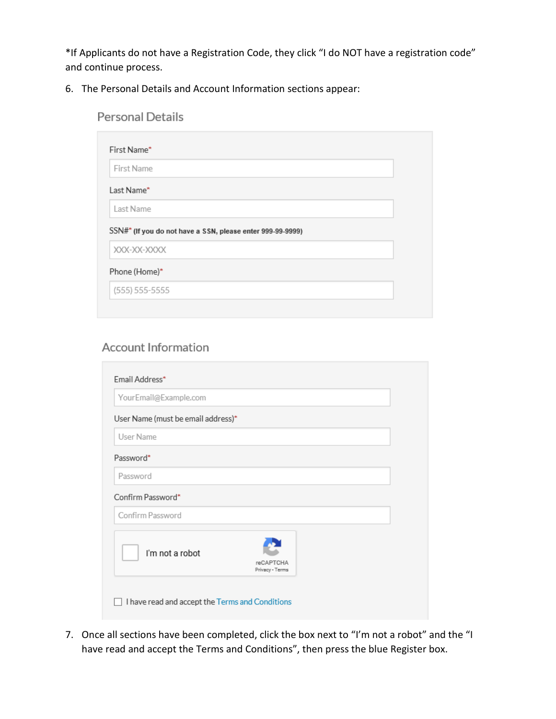\*If Applicants do not have a Registration Code, they click "I do NOT have a registration code" and continue process.

6. The Personal Details and Account Information sections appear:

| <b>Personal Details</b>                                    |
|------------------------------------------------------------|
| First Name*                                                |
| First Name                                                 |
| Last Name*                                                 |
| Last Name                                                  |
| SSN#* (If you do not have a SSN, please enter 999-99-9999) |
| XXX-XX-XXXX                                                |
| Phone (Home)*                                              |
| (555) 555-5555                                             |

## **Account Information**

| YourEmail@Example.com              |                                     |
|------------------------------------|-------------------------------------|
| User Name (must be email address)* |                                     |
| User Name                          |                                     |
| Password*                          |                                     |
| Password                           |                                     |
| Confirm Password*                  |                                     |
| Confirm Password                   |                                     |
| I'm not a robot                    | <b>reCAPTCHA</b><br>Privacy - Terms |

7. Once all sections have been completed, click the box next to "I'm not a robot" and the "I have read and accept the Terms and Conditions", then press the blue Register box.